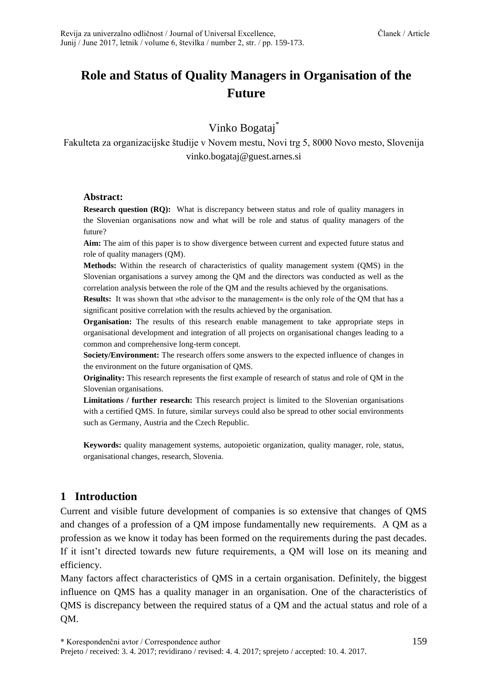# **Role and Status of Quality Managers in Organisation of the Future**

Vinko Bogataj\*

Fakulteta za organizacijske študije v Novem mestu, Novi trg 5, 8000 Novo mesto, Slovenija [vinko.bogataj@guest.arnes.si](mailto:vinko.bogataj@guest.arnes.si)

## **Abstract:**

**Research question (RQ):** What is discrepancy between status and role of quality managers in the Slovenian organisations now and what will be role and status of quality managers of the future?

**Aim:** The aim of this paper is to show divergence between current and expected future status and role of quality managers (QM).

**Methods:** Within the research of characteristics of quality management system (QMS) in the Slovenian organisations a survey among the QM and the directors was conducted as well as the correlation analysis between the role of the QM and the results achieved by the organisations.

**Results:** It was shown that »the advisor to the management« is the only role of the OM that has a significant positive correlation with the results achieved by the organisation.

**Organisation:** The results of this research enable management to take appropriate steps in organisational development and integration of all projects on organisational changes leading to a common and comprehensive long-term concept.

**Society/Environment:** The research offers some answers to the expected influence of changes in the environment on the future organisation of QMS.

**Originality:** This research represents the first example of research of status and role of QM in the Slovenian organisations.

**Limitations / further research:** This research project is limited to the Slovenian organisations with a certified QMS. In future, similar surveys could also be spread to other social environments such as Germany, Austria and the Czech Republic.

**Keywords:** quality management systems, autopoietic organization, quality manager, role, status, organisational changes, research, Slovenia.

## **1 Introduction**

Current and visible future development of companies is so extensive that changes of QMS and changes of a profession of a QM impose fundamentally new requirements. A QM as a profession as we know it today has been formed on the requirements during the past decades. If it isnt't directed towards new future requirements, a QM will lose on its meaning and efficiency.

Many factors affect characteristics of QMS in a certain organisation. Definitely, the biggest influence on QMS has a quality manager in an organisation. One of the characteristics of QMS is discrepancy between the required status of a QM and the actual status and role of a QM.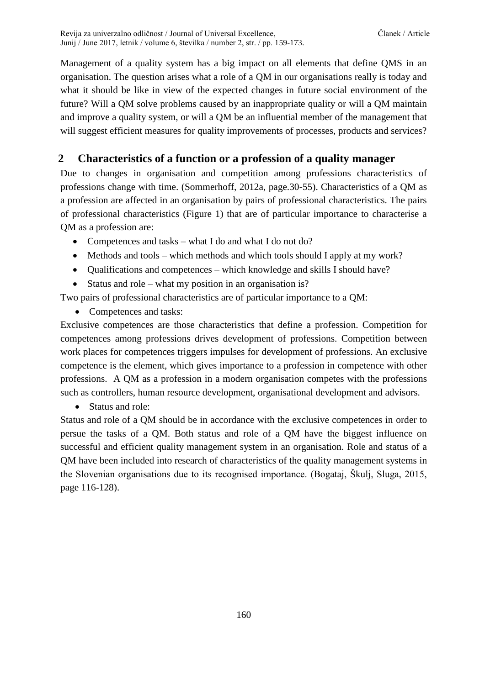Management of a quality system has a big impact on all elements that define QMS in an organisation. The question arises what a role of a QM in our organisations really is today and what it should be like in view of the expected changes in future social environment of the future? Will a QM solve problems caused by an inappropriate quality or will a QM maintain and improve a quality system, or will a QM be an influential member of the management that will suggest efficient measures for quality improvements of processes, products and services?

## **2 Characteristics of a function or a profession of a quality manager**

Due to changes in organisation and competition among professions characteristics of professions change with time. (Sommerhoff, 2012a, page.30-55). Characteristics of a QM as a profession are affected in an organisation by pairs of professional characteristics. The pairs of professional characteristics (Figure 1) that are of particular importance to characterise a QM as a profession are:

- Competences and tasks what I do and what I do not do?
- Methods and tools which methods and which tools should I apply at my work?
- Qualifications and competences which knowledge and skills I should have?
- Status and role what my position in an organisation is?

Two pairs of professional characteristics are of particular importance to a QM:

• Competences and tasks:

Exclusive competences are those characteristics that define a profession. Competition for competences among professions drives development of professions. Competition between work places for competences triggers impulses for development of professions. An exclusive competence is the element, which gives importance to a profession in competence with other professions. A QM as a profession in a modern organisation competes with the professions such as controllers, human resource development, organisational development and advisors.

• Status and role:

Status and role of a QM should be in accordance with the exclusive competences in order to persue the tasks of a QM. Both status and role of a QM have the biggest influence on successful and efficient quality management system in an organisation. Role and status of a QM have been included into research of characteristics of the quality management systems in the Slovenian organisations due to its recognised importance. (Bogataj, Škulj, Sluga, 2015, page 116-128).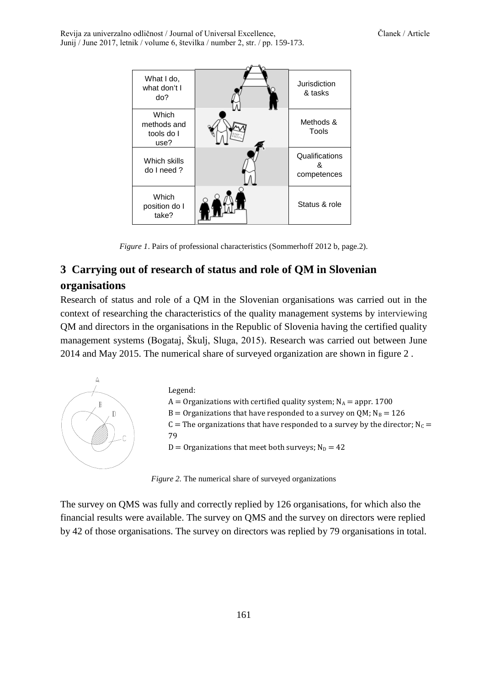Revija za univerzalno odličnost / Journal of Universal Excellence, Članek / Article Junij / June 2017, letnik / volume 6, številka / number 2, str. / pp. 159-173.



*Figure 1*. Pairs of professional characteristics (Sommerhoff 2012 b, page.2).

## **3 Carrying out of research of status and role of QM in Slovenian organisations**

Research of status and role of a QM in the Slovenian organisations was carried out in the context of researching the characteristics of the quality management systems by interviewing QM and directors in the organisations in the Republic of Slovenia having the certified quality management systems (Bogataj, Škulj, Sluga, 2015). Research was carried out between June 2014 and May 2015. The numerical share of surveyed organization are shown in figure 2 .



*Figure 2.* The numerical share of surveyed organizations

The survey on QMS was fully and correctly replied by 126 organisations, for which also the financial results were available. The survey on QMS and the survey on directors were replied by 42 of those organisations. The survey on directors was replied by 79 organisations in total.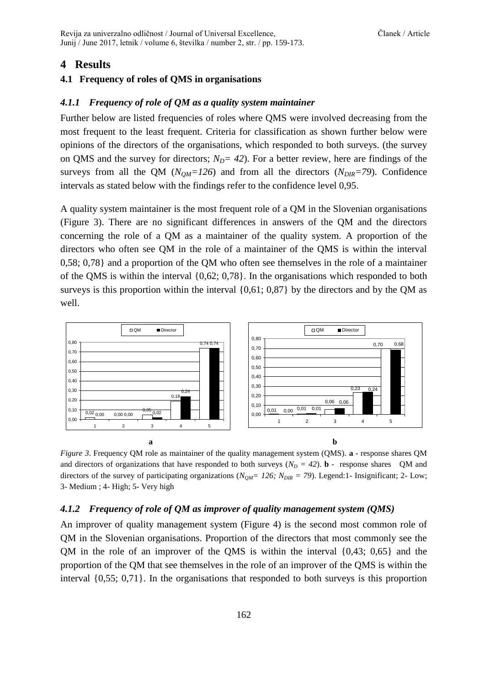## **4 Results**

#### **4.1 Frequency of roles of QMS in organisations**

#### *4.1.1 Frequency of role of QM as a quality system maintainer*

Further below are listed frequencies of roles where QMS were involved decreasing from the most frequent to the least frequent. Criteria for classification as shown further below were opinions of the directors of the organisations, which responded to both surveys. (the survey on QMS and the survey for directors;  $N_D = 42$ ). For a better review, here are findings of the surveys from all the QM ( $N_{OM}$ =126) and from all the directors ( $N_{DIR}$ =79). Confidence intervals as stated below with the findings refer to the confidence level 0,95.

A quality system maintainer is the most frequent role of a QM in the Slovenian organisations (Figure 3). There are no significant differences in answers of the QM and the directors concerning the role of a QM as a maintainer of the quality system. A proportion of the directors who often see QM in the role of a maintainer of the QMS is within the interval 0,58; 0,78} and a proportion of the QM who often see themselves in the role of a maintainer of the QMS is within the interval {0,62; 0,78}. In the organisations which responded to both surveys is this proportion within the interval  $\{0,61; 0,87\}$  by the directors and by the QM as well.



*Figure 3*. Frequency QM role as maintainer of the quality management system (QMS). **a** - response shares QM and directors of organizations that have responded to both surveys  $(N_D = 42)$ . **b** - response shares QM and directors of the survey of participating organizations (*NQM= 126; NDIR = 79*). Legend:1- Insignificant; 2- Low; 3- Medium ; 4- High; 5- Very high

#### *4.1.2 Frequency of role of QM as improver of quality management system (QMS)*

An improver of quality management system (Figure 4) is the second most common role of QM in the Slovenian organisations. Proportion of the directors that most commonly see the QM in the role of an improver of the QMS is within the interval {0,43; 0,65} and the proportion of the QM that see themselves in the role of an improver of the QMS is within the interval {0,55; 0,71}. In the organisations that responded to both surveys is this proportion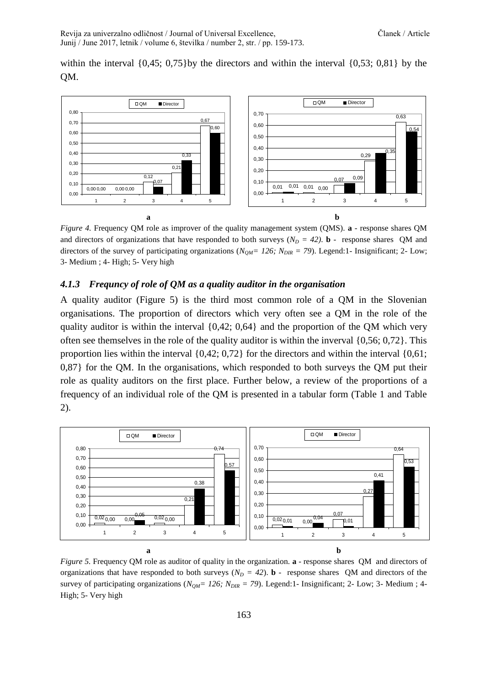within the interval  $\{0,45;\ 0,75\}$  by the directors and within the interval  $\{0,53;\ 0,81\}$  by the QM.



*Figure 4.* Frequency QM role as improver of the quality management system (QMS). **a** - response shares QM and directors of organizations that have responded to both surveys ( $N<sub>D</sub> = 42$ ). **b** - response shares QM and directors of the survey of participating organizations (*NQM= 126; NDIR = 79*). Legend:1- Insignificant; 2- Low; 3- Medium ; 4- High; 5- Very high

#### *4.1.3 Frequncy of role of QM as a quality auditor in the organisation*

A quality auditor (Figure 5) is the third most common role of a QM in the Slovenian organisations. The proportion of directors which very often see a QM in the role of the quality auditor is within the interval  $\{0,42; 0,64\}$  and the proportion of the QM which very often see themselves in the role of the quality auditor is within the inverval {0,56; 0,72}. This proportion lies within the interval {0,42; 0,72} for the directors and within the interval {0,61; 0,87} for the QM. In the organisations, which responded to both surveys the QM put their role as quality auditors on the first place. Further below, a review of the proportions of a frequency of an individual role of the QM is presented in a tabular form (Table 1 and Table 2).



*Figure 5.* Frequency QM role as auditor of quality in the organization. **a** - response shares QM and directors of organizations that have responded to both surveys ( $N<sub>D</sub> = 42$ ). **b** - response shares QM and directors of the survey of participating organizations (*NQM= 126; NDIR = 79*). Legend:1- Insignificant; 2- Low; 3- Medium ; 4- High; 5- Very high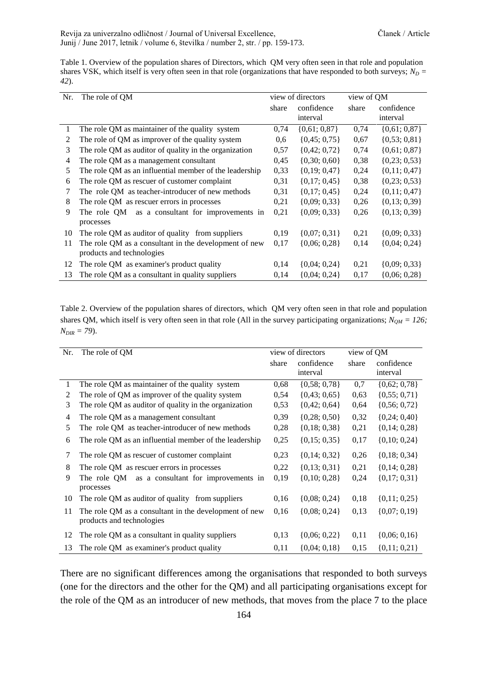Table 1. Overview of the population shares of Directors, which QM very often seen in that role and population shares VSK, which itself is very often seen in that role (organizations that have responded to both surveys;  $N_D =$ *42*).

| Nr. | The role of QM                                                                     | view of directors |                        | view of QM |                        |
|-----|------------------------------------------------------------------------------------|-------------------|------------------------|------------|------------------------|
|     |                                                                                    | share             | confidence<br>interval | share      | confidence<br>interval |
|     | The role QM as maintainer of the quality system                                    | 0,74              | $\{0,61; 0,87\}$       | 0.74       | $\{0,61; 0,87\}$       |
| 2   | The role of QM as improver of the quality system                                   | 0,6               | $\{0,45;0,75\}$        | 0,67       | $\{0, 53; 0, 81\}$     |
| 3   | The role QM as auditor of quality in the organization                              | 0,57              | $\{0,42; 0,72\}$       | 0,74       | $\{0,61; 0,87\}$       |
| 4   | The role QM as a management consultant                                             | 0,45              | $\{0,30; 0,60\}$       | 0,38       | $\{0,23;0,53\}$        |
| 5   | The role QM as an influential member of the leadership                             | 0.33              | $\{0,19;0,47\}$        | 0,24       | $\{0,11;0,47\}$        |
| 6   | The role QM as rescuer of customer complaint                                       | 0,31              | $\{0,17;0,45\}$        | 0,38       | $\{0,23;0,53\}$        |
| 7   | The role QM as teacher-introducer of new methods                                   | 0.31              | $\{0,17;0,45\}$        | 0,24       | $\{0,11;0,47\}$        |
| 8   | The role QM as rescuer errors in processes                                         | 0,21              | $\{0,09; 0,33\}$       | 0,26       | $\{0,13;0,39\}$        |
| 9   | as a consultant for improvements in<br>The role OM<br>processes                    | 0,21              | $\{0,09; 0,33\}$       | 0,26       | $\{0, 13; 0, 39\}$     |
| 10  | The role QM as auditor of quality from suppliers                                   | 0,19              | $\{0,07; 0,31\}$       | 0,21       | $\{0,09; 0,33\}$       |
| 11  | The role QM as a consultant in the development of new<br>products and technologies | 0,17              | $\{0,06; 0,28\}$       | 0,14       | $\{0,04; 0,24\}$       |
| 12  | The role QM as examiner's product quality                                          | 0,14              | $\{0,04; 0,24\}$       | 0,21       | $\{0,09; 0,33\}$       |
| 13  | The role QM as a consultant in quality suppliers                                   | 0,14              | $\{0,04; 0,24\}$       | 0,17       | $\{0,06; 0,28\}$       |

Table 2. Overview of the population shares of directors, which QM very often seen in that role and population shares QM, which itself is very often seen in that role (All in the survey participating organizations; *NQM = 126; NDIR = 79*).

| Nr. | The role of QM                                                                     |       | view of directors  | view of QM |                    |  |
|-----|------------------------------------------------------------------------------------|-------|--------------------|------------|--------------------|--|
|     |                                                                                    | share | confidence         | share      | confidence         |  |
|     |                                                                                    |       | interval           |            | interval           |  |
| 1   | The role QM as maintainer of the quality system                                    | 0.68  | $\{0,58; 0,78\}$   | 0,7        | $\{0,62; 0,78\}$   |  |
| 2   | The role of QM as improver of the quality system                                   | 0,54  | $\{0,43; 0,65\}$   | 0,63       | $\{0, 55; 0, 71\}$ |  |
| 3   | The role QM as auditor of quality in the organization                              | 0,53  | $\{0,42; 0,64\}$   | 0,64       | $\{0, 56; 0, 72\}$ |  |
| 4   | The role QM as a management consultant                                             | 0,39  | $\{0,28; 0,50\}$   | 0,32       | $\{0,24;0,40\}$    |  |
| 5   | The role QM as teacher-introducer of new methods                                   | 0,28  | $\{0,18;0,38\}$    | 0,21       | $\{0,14;0,28\}$    |  |
| 6   | The role QM as an influential member of the leadership                             | 0,25  | $\{0, 15; 0, 35\}$ | 0,17       | $\{0, 10; 0, 24\}$ |  |
| 7   | The role QM as rescuer of customer complaint                                       | 0,23  | $\{0,14;0,32\}$    | 0,26       | $\{0,18;0,34\}$    |  |
| 8   | The role QM as rescuer errors in processes                                         | 0,22  | $\{0,13;0,31\}$    | 0,21       | $\{0, 14; 0, 28\}$ |  |
| 9   | The role QM<br>as a consultant for improvements in<br>processes                    | 0,19  | $\{0,10; 0,28\}$   | 0,24       | $\{0,17;0,31\}$    |  |
| 10  | The role QM as auditor of quality from suppliers                                   | 0,16  | $\{0,08; 0,24\}$   | 0,18       | $\{0,11;0,25\}$    |  |
| 11  | The role QM as a consultant in the development of new<br>products and technologies | 0,16  | $\{0,08; 0,24\}$   | 0,13       | $\{0,07;0,19\}$    |  |
| 12  | The role QM as a consultant in quality suppliers                                   | 0,13  | $\{0,06; 0,22\}$   | 0,11       | $\{0,06; 0,16\}$   |  |
| 13  | The role QM as examiner's product quality                                          | 0.11  | $\{0,04; 0,18\}$   | 0,15       | $\{0,11;0,21\}$    |  |

There are no significant differences among the organisations that responded to both surveys (one for the directors and the other for the QM) and all participating organisations except for the role of the QM as an introducer of new methods, that moves from the place 7 to the place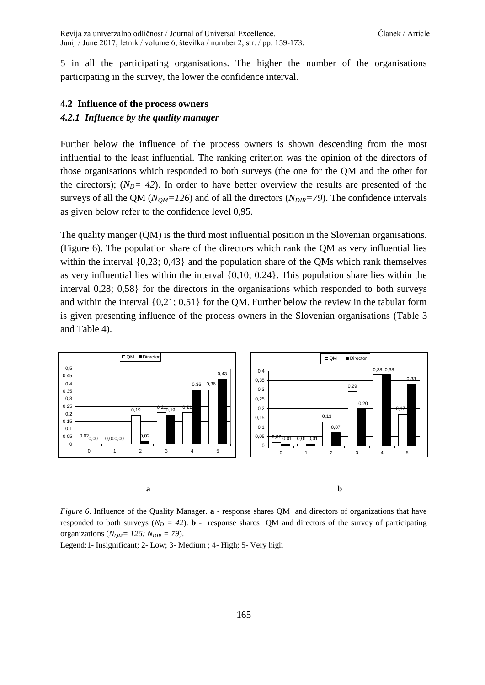Revija za univerzalno odličnost / Journal of Universal Excellence, Članek / Article Junij / June 2017, letnik / volume 6, številka / number 2, str. / pp. 159-173.

5 in all the participating organisations. The higher the number of the organisations participating in the survey, the lower the confidence interval.

### **4.2 Influence of the process owners**

#### *4.2.1 Influence by the quality manager*

Further below the influence of the process owners is shown descending from the most influential to the least influential. The ranking criterion was the opinion of the directors of those organisations which responded to both surveys (the one for the QM and the other for the directors);  $(N_D = 42)$ . In order to have better overview the results are presented of the surveys of all the QM (*NQM=126*) and of all the directors (*NDIR=79*). The confidence intervals as given below refer to the confidence level 0,95.

The quality manger (QM) is the third most influential position in the Slovenian organisations. (Figure 6). The population share of the directors which rank the QM as very influential lies within the interval  $\{0,23; 0,43\}$  and the population share of the QMs which rank themselves as very influential lies within the interval {0,10; 0,24}. This population share lies within the interval 0,28; 0,58} for the directors in the organisations which responded to both surveys and within the interval {0,21; 0,51} for the QM. Further below the review in the tabular form is given presenting influence of the process owners in the Slovenian organisations (Table 3 and Table 4).



*Figure 6.* Influence of the Quality Manager. **a** - response shares QM and directors of organizations that have responded to both surveys ( $N_D = 42$ ). **b** - response shares QM and directors of the survey of participating organizations ( $N_{OM}$  = 126;  $N_{DIR}$  = 79).

Legend:1- Insignificant; 2- Low; 3- Medium ; 4- High; 5- Very high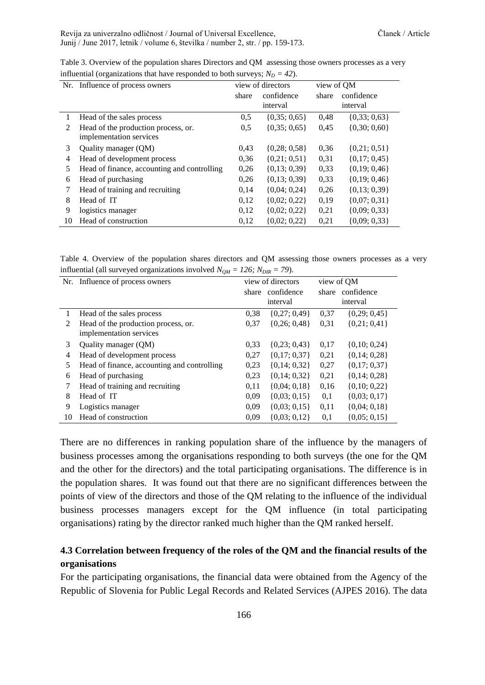Revija za univerzalno odličnost / Journal of Universal Excellence, Chamber (Clanek / Article Junij / June 2017, letnik / volume 6, številka / number 2, str. / pp. 159-173.

|               | л.                                          |                   |                  |            |                    |
|---------------|---------------------------------------------|-------------------|------------------|------------|--------------------|
|               | Nr. Influence of process owners             | view of directors |                  | view of QM |                    |
|               |                                             | share             | confidence       | share      | confidence         |
|               |                                             |                   | interval         |            | interval           |
| 1             | Head of the sales process                   | 0,5               | $\{0,35;0,65\}$  | 0,48       | $\{0,33;0,63\}$    |
| $\mathcal{L}$ | Head of the production process, or.         | 0,5               | $\{0,35;0,65\}$  | 0,45       | $\{0,30; 0,60\}$   |
|               | implementation services                     |                   |                  |            |                    |
| 3             | Quality manager (QM)                        | 0.43              | $\{0,28; 0,58\}$ | 0.36       | $\{0,21; 0,51\}$   |
| 4             | Head of development process                 | 0,36              | $\{0,21; 0,51\}$ | 0,31       | $\{0,17;0,45\}$    |
| 5             | Head of finance, accounting and controlling | 0,26              | $\{0,13;0,39\}$  | 0,33       | $\{0,19;0,46\}$    |
| 6             | Head of purchasing                          | 0,26              | $\{0,13;0,39\}$  | 0,33       | $\{0,19;0,46\}$    |
|               | Head of training and recruiting             | 0.14              | $\{0,04; 0,24\}$ | 0,26       | $\{0, 13; 0, 39\}$ |
| 8             | Head of IT                                  | 0,12              | $\{0,02; 0,22\}$ | 0,19       | $\{0,07; 0,31\}$   |
| 9             | logistics manager                           | 0,12              | $\{0,02; 0,22\}$ | 0,21       | $\{0,09; 0,33\}$   |
| 10            | Head of construction                        | 0.12              | $\{0,02; 0,22\}$ | 0,21       | $\{0,09; 0,33\}$   |

Table 3. Overview of the population shares Directors and QM assessing those owners processes as a very influential (organizations that have responded to both surveys;  $N_D = 42$ ).

Table 4. Overview of the population shares directors and QM assessing those owners processes as a very influential (all surveyed organizations involved  $N_{QM} = 126$ ;  $N_{DIR} = 79$ ).

| Nr. | Influence of process owners                 | view of directors |                  | view of QM |                  |
|-----|---------------------------------------------|-------------------|------------------|------------|------------------|
|     |                                             | share             | confidence       | share      | confidence       |
|     |                                             |                   | interval         | interval   |                  |
|     | Head of the sales process                   | 0.38              | $\{0,27;0,49\}$  | 0.37       | $\{0,29; 0,45\}$ |
| 2   | Head of the production process, or.         | 0.37              | $\{0,26;0,48\}$  | 0,31       | $\{0,21; 0,41\}$ |
|     | implementation services                     |                   |                  |            |                  |
| 3   | Quality manager (QM)                        | 0.33              | $\{0,23;0,43\}$  | 0,17       | $\{0,10; 0,24\}$ |
| 4   | Head of development process                 | 0,27              | $\{0,17;0,37\}$  | 0,21       | $\{0,14;0,28\}$  |
| 5   | Head of finance, accounting and controlling | 0.23              | $\{0,14;0,32\}$  | 0,27       | $\{0,17;0,37\}$  |
| 6   | Head of purchasing                          | 0.23              | $\{0,14;0.32\}$  | 0,21       | $\{0,14;0,28\}$  |
|     | Head of training and recruiting             | 0,11              | $\{0.04; 0.18\}$ | 0.16       | $\{0,10; 0,22\}$ |
| 8   | Head of IT                                  | 0,09              | $\{0,03; 0,15\}$ | 0,1        | $\{0,03; 0,17\}$ |
| 9   | Logistics manager                           | 0,09              | $\{0,03; 0,15\}$ | 0,11       | $\{0,04; 0,18\}$ |
| 10  | Head of construction                        | 0.09              | $\{0,03; 0,12\}$ | 0,1        | $\{0,05; 0,15\}$ |

There are no differences in ranking population share of the influence by the managers of business processes among the organisations responding to both surveys (the one for the QM and the other for the directors) and the total participating organisations. The difference is in the population shares. It was found out that there are no significant differences between the points of view of the directors and those of the QM relating to the influence of the individual business processes managers except for the QM influence (in total participating organisations) rating by the director ranked much higher than the QM ranked herself.

## **4.3 Correlation between frequency of the roles of the QM and the financial results of the organisations**

For the participating organisations, the financial data were obtained from the Agency of the Republic of Slovenia for Public Legal Records and Related Services (AJPES 2016). The data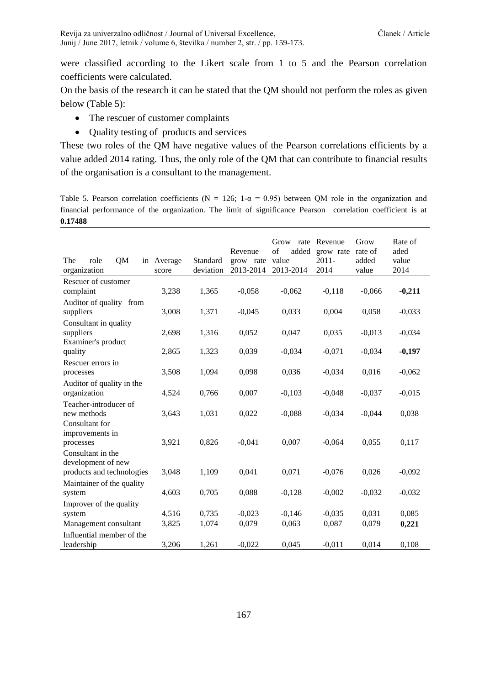were classified according to the Likert scale from 1 to 5 and the Pearson correlation coefficients were calculated.

On the basis of the research it can be stated that the QM should not perform the roles as given below (Table 5):

- The rescuer of customer complaints
- Quality testing of products and services

These two roles of the QM have negative values of the Pearson correlations efficients by a value added 2014 rating. Thus, the only role of the QM that can contribute to financial results of the organisation is a consultant to the management.

Table 5. Pearson correlation coefficients ( $N = 126$ ;  $1-\alpha = 0.95$ ) between QM role in the organization and financial performance of the organization. The limit of significance Pearson correlation coefficient is at **0.17488**

| The<br>role<br>QM<br>in<br>organization        | Average<br>score | Standard<br>deviation | Revenue<br>grow rate<br>2013-2014 | Grow<br>rate<br>of<br>added<br>value<br>2013-2014 | Revenue<br>grow rate<br>$2011 -$<br>2014 | Grow<br>rate of<br>added<br>value | Rate of<br>aded<br>value<br>2014 |
|------------------------------------------------|------------------|-----------------------|-----------------------------------|---------------------------------------------------|------------------------------------------|-----------------------------------|----------------------------------|
| Rescuer of customer<br>complaint               | 3,238            | 1,365                 | $-0,058$                          | $-0,062$                                          | $-0,118$                                 | $-0,066$                          | $-0,211$                         |
| Auditor of quality from<br>suppliers           | 3,008            | 1,371                 | $-0,045$                          | 0,033                                             | 0,004                                    | 0,058                             | $-0,033$                         |
| Consultant in quality<br>suppliers             | 2,698            | 1,316                 | 0,052                             | 0,047                                             | 0,035                                    | $-0,013$                          | $-0,034$                         |
| Examiner's product<br>quality                  | 2,865            | 1,323                 | 0,039                             | $-0,034$                                          | $-0,071$                                 | $-0,034$                          | $-0,197$                         |
| Rescuer errors in<br>processes                 | 3,508            | 1,094                 | 0,098                             | 0,036                                             | $-0,034$                                 | 0,016                             | $-0,062$                         |
| Auditor of quality in the<br>organization      | 4,524            | 0,766                 | 0,007                             | $-0,103$                                          | $-0,048$                                 | $-0,037$                          | $-0,015$                         |
| Teacher-introducer of<br>new methods           | 3,643            | 1,031                 | 0,022                             | $-0,088$                                          | $-0,034$                                 | $-0,044$                          | 0,038                            |
| Consultant for<br>improvements in<br>processes | 3,921            | 0,826                 | $-0,041$                          | 0,007                                             | $-0,064$                                 | 0,055                             | 0,117                            |
| Consultant in the<br>development of new        |                  |                       |                                   |                                                   |                                          |                                   |                                  |
| products and technologies                      | 3,048            | 1,109                 | 0,041                             | 0,071                                             | $-0,076$                                 | 0,026                             | $-0,092$                         |
| Maintainer of the quality<br>system            | 4,603            | 0,705                 | 0,088                             | $-0,128$                                          | $-0,002$                                 | $-0,032$                          | $-0,032$                         |
| Improver of the quality                        |                  |                       |                                   |                                                   |                                          |                                   |                                  |
| system<br>Management consultant                | 4,516<br>3,825   | 0,735<br>1,074        | $-0,023$<br>0,079                 | $-0,146$<br>0,063                                 | $-0,035$<br>0,087                        | 0,031<br>0,079                    | 0,085<br>0,221                   |
| Influential member of the                      |                  |                       |                                   |                                                   |                                          |                                   |                                  |
| leadership                                     | 3,206            | 1,261                 | $-0.022$                          | 0,045                                             | $-0.011$                                 | 0,014                             | 0,108                            |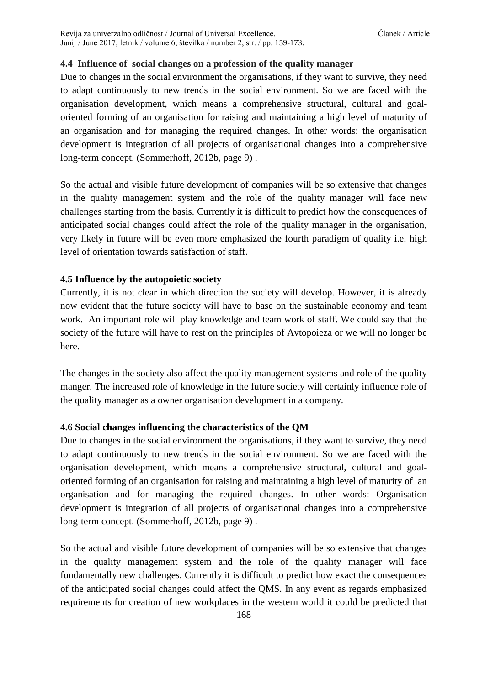## **4.4 Influence of social changes on a profession of the quality manager**

Due to changes in the social environment the organisations, if they want to survive, they need to adapt continuously to new trends in the social environment. So we are faced with the organisation development, which means a comprehensive structural, cultural and goaloriented forming of an organisation for raising and maintaining a high level of maturity of an organisation and for managing the required changes. In other words: the organisation development is integration of all projects of organisational changes into a comprehensive long-term concept. (Sommerhoff, 2012b, page 9) .

So the actual and visible future development of companies will be so extensive that changes in the quality management system and the role of the quality manager will face new challenges starting from the basis. Currently it is difficult to predict how the consequences of anticipated social changes could affect the role of the quality manager in the organisation, very likely in future will be even more emphasized the fourth paradigm of quality i.e. high level of orientation towards satisfaction of staff.

## **4.5 Influence by the autopoietic society**

Currently, it is not clear in which direction the society will develop. However, it is already now evident that the future society will have to base on the sustainable economy and team work. An important role will play knowledge and team work of staff. We could say that the society of the future will have to rest on the principles of Avtopoieza or we will no longer be here.

The changes in the society also affect the quality management systems and role of the quality manger. The increased role of knowledge in the future society will certainly influence role of the quality manager as a owner organisation development in a company.

## **4.6 Social changes influencing the characteristics of the QM**

Due to changes in the social environment the organisations, if they want to survive, they need to adapt continuously to new trends in the social environment. So we are faced with the organisation development, which means a comprehensive structural, cultural and goaloriented forming of an organisation for raising and maintaining a high level of maturity of an organisation and for managing the required changes. In other words: Organisation development is integration of all projects of organisational changes into a comprehensive long-term concept. (Sommerhoff, 2012b, page 9) .

So the actual and visible future development of companies will be so extensive that changes in the quality management system and the role of the quality manager will face fundamentally new challenges. Currently it is difficult to predict how exact the consequences of the anticipated social changes could affect the QMS. In any event as regards emphasized requirements for creation of new workplaces in the western world it could be predicted that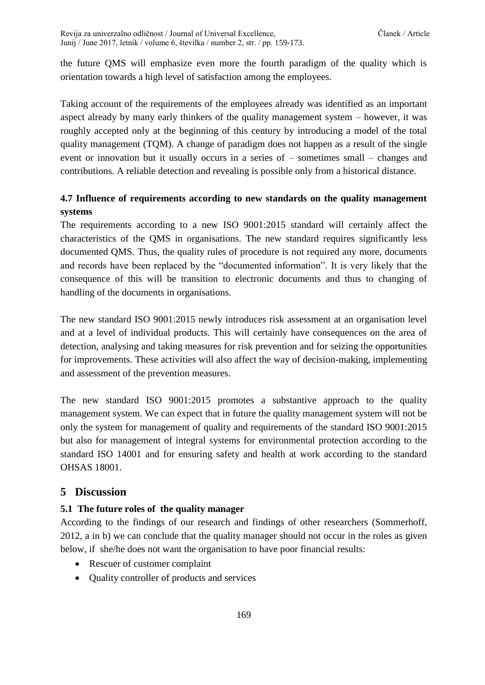Revija za univerzalno odličnost / Journal of Universal Excellence, Članek / Article Junij / June 2017, letnik / volume 6, številka / number 2, str. / pp. 159-173.

the future QMS will emphasize even more the fourth paradigm of the quality which is orientation towards a high level of satisfaction among the employees.

Taking account of the requirements of the employees already was identified as an important aspect already by many early thinkers of the quality management system – however, it was roughly accepted only at the beginning of this century by introducing a model of the total quality management (TQM). A change of paradigm does not happen as a result of the single event or innovation but it usually occurs in a series of – sometimes small – changes and contributions. A reliable detection and revealing is possible only from a historical distance.

## **4.7 Influence of requirements according to new standards on the quality management systems**

The requirements according to a new ISO 9001:2015 standard will certainly affect the characteristics of the QMS in organisations. The new standard requires significantly less documented QMS. Thus, the quality rules of procedure is not required any more, documents and records have been replaced by the "documented information". It is very likely that the consequence of this will be transition to electronic documents and thus to changing of handling of the documents in organisations.

The new standard ISO 9001:2015 newly introduces risk assessment at an organisation level and at a level of individual products. This will certainly have consequences on the area of detection, analysing and taking measures for risk prevention and for seizing the opportunities for improvements. These activities will also affect the way of decision-making, implementing and assessment of the prevention measures.

The new standard ISO 9001:2015 promotes a substantive approach to the quality management system. We can expect that in future the quality management system will not be only the system for management of quality and requirements of the standard ISO 9001:2015 but also for management of integral systems for environmental protection according to the standard ISO 14001 and for ensuring safety and health at work according to the standard OHSAS 18001.

## **5 Discussion**

## **5.1 The future roles of the quality manager**

According to the findings of our research and findings of other researchers (Sommerhoff, 2012, a in b) we can conclude that the quality manager should not occur in the roles as given below, if she/he does not want the organisation to have poor financial results:

- Rescuer of customer complaint
- Quality controller of products and services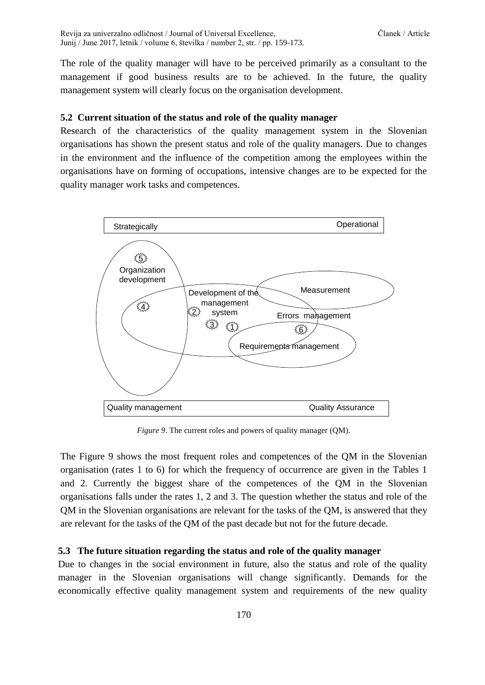The role of the quality manager will have to be perceived primarily as a consultant to the management if good business results are to be achieved. In the future, the quality management system will clearly focus on the organisation development.

### **5.2 Current situation of the status and role of the quality manager**

Research of the characteristics of the quality management system in the Slovenian organisations has shown the present status and role of the quality managers. Due to changes in the environment and the influence of the competition among the employees within the organisations have on forming of occupations, intensive changes are to be expected for the quality manager work tasks and competences.



*Figure 9*. The current roles and powers of quality manager (QM).

The Figure 9 shows the most frequent roles and competences of the QM in the Slovenian organisation (rates 1 to 6) for which the frequency of occurrence are given in the Tables 1 and 2. Currently the biggest share of the competences of the QM in the Slovenian organisations falls under the rates 1, 2 and 3. The question whether the status and role of the QM in the Slovenian organisations are relevant for the tasks of the QM, is answered that they are relevant for the tasks of the QM of the past decade but not for the future decade.

#### **5.3 The future situation regarding the status and role of the quality manager**

Due to changes in the social environment in future, also the status and role of the quality manager in the Slovenian organisations will change significantly. Demands for the economically effective quality management system and requirements of the new quality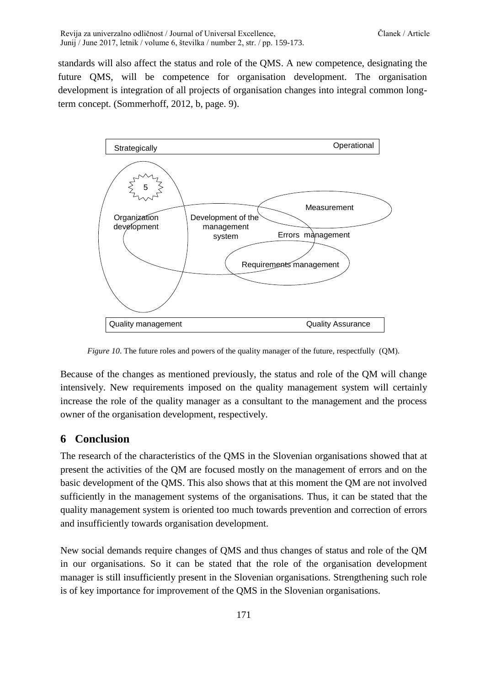standards will also affect the status and role of the QMS. A new competence, designating the future QMS, will be competence for organisation development. The organisation development is integration of all projects of organisation changes into integral common longterm concept. (Sommerhoff, 2012, b, page. 9).



*Figure* 10. The future roles and powers of the quality manager of the future, respectfully (QM).

Because of the changes as mentioned previously, the status and role of the QM will change intensively. New requirements imposed on the quality management system will certainly increase the role of the quality manager as a consultant to the management and the process owner of the organisation development, respectively.

## **6 Conclusion**

The research of the characteristics of the QMS in the Slovenian organisations showed that at present the activities of the QM are focused mostly on the management of errors and on the basic development of the QMS. This also shows that at this moment the QM are not involved sufficiently in the management systems of the organisations. Thus, it can be stated that the quality management system is oriented too much towards prevention and correction of errors and insufficiently towards organisation development.

New social demands require changes of QMS and thus changes of status and role of the QM in our organisations. So it can be stated that the role of the organisation development manager is still insufficiently present in the Slovenian organisations. Strengthening such role is of key importance for improvement of the QMS in the Slovenian organisations.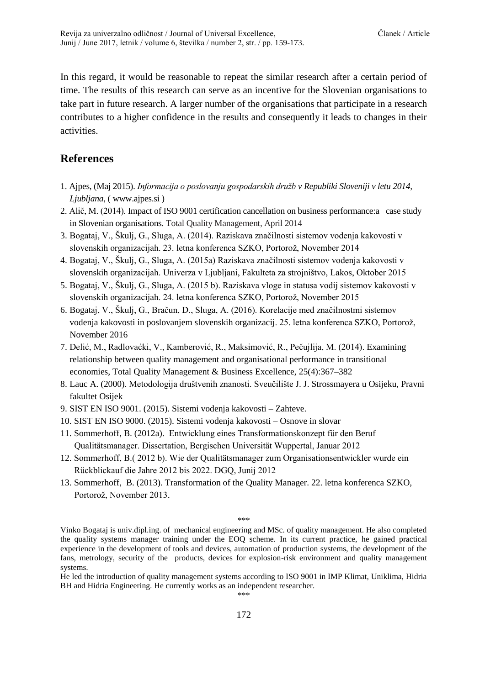In this regard, it would be reasonable to repeat the similar research after a certain period of time. The results of this research can serve as an incentive for the Slovenian organisations to take part in future research. A larger number of the organisations that participate in a research contributes to a higher confidence in the results and consequently it leads to changes in their activities.

## **References**

- 1. Ajpes, (Maj 2015). *Informacija o poslovanju gospodarskih družb v Republiki Sloveniji v letu 2014, Ljubljana*, ( www.ajpes.si )
- 2. Alič, M. (2014). Impact of ISO 9001 certification cancellation on business performance:a case study in Slovenian organisations. Total Quality Management, April 2014
- 3. Bogataj, V., Škulj, G., Sluga, A. (2014). Raziskava značilnosti sistemov vodenja kakovosti v slovenskih organizacijah. 23. letna konferenca SZKO, Portorož, November 2014
- 4. Bogataj, V., Škulj, G., Sluga, A. (2015a) Raziskava značilnosti sistemov vodenja kakovosti v slovenskih organizacijah. Univerza v Ljubljani, Fakulteta za strojništvo, Lakos, Oktober 2015
- 5. Bogataj, V., Škulj, G., Sluga, A. (2015 b). Raziskava vloge in statusa vodij sistemov kakovosti v slovenskih organizacijah. 24. letna konferenca SZKO, Portorož, November 2015
- 6. Bogataj, V., Škulj, G., Bračun, D., Sluga, A. (2016). Korelacije med značilnostmi sistemov vodenja kakovosti in poslovanjem slovenskih organizacij. 25. letna konferenca SZKO, Portorož, November 2016
- 7. Delić, M., Radlovaćki, V., Kamberović, R., Maksimović, R., Pečujlija, M. (2014). Examining relationship between quality management and organisational performance in transitional economies, Total Quality Management & Business Excellence, 25(4):367–382
- 8. Lauc A. (2000). Metodologija društvenih znanosti. Sveučilište J. J. Strossmayera u Osijeku, Pravni fakultet Osijek
- 9. SIST EN ISO 9001. (2015). Sistemi vodenja kakovosti Zahteve.
- 10. SIST EN ISO 9000. (2015). Sistemi vodenja kakovosti Osnove in slovar
- 11. Sommerhoff, B. (2012a). Entwicklung eines Transformationskonzept für den Beruf Qualitätsmanager. Dissertation, Bergischen Universität Wuppertal, Januar 2012
- 12. Sommerhoff, B.( 2012 b). Wie der Qualitätsmanager zum Organisationsentwickler wurde ein Rückblickauf die Jahre 2012 bis 2022. DGQ, Junij 2012
- 13. Sommerhoff, B. (2013). Transformation of the Quality Manager. 22. letna konferenca SZKO, Portorož, November 2013.

\*\*\*

Vinko Bogataj is univ.dipl.ing. of mechanical engineering and MSc. of quality management. He also completed the quality systems manager training under the EOQ scheme. In its current practice, he gained practical experience in the development of tools and devices, automation of production systems, the development of the fans, metrology, security of the products, devices for explosion-risk environment and quality management systems.

He led the introduction of quality management systems according to ISO 9001 in IMP Klimat, Uniklima, Hidria BH and Hidria Engineering. He currently works as an independent researcher. \*\*\*